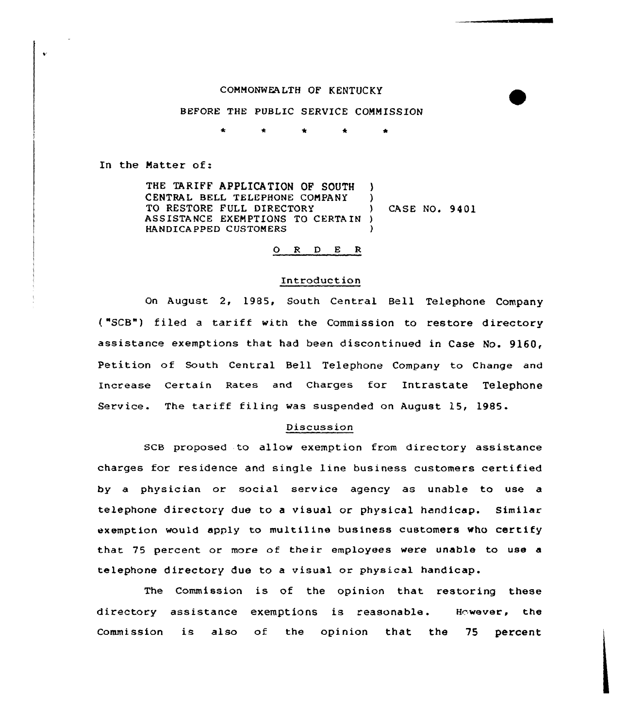## COMMONWEALTH OF KENTUCKY

## BEFORE THE PUBLIC SERVICE COMMISSION

In the Natter of:

THE TARIFF APPLICATION OF SOUTH CENTRAL BELL TELEPHONE COMPANY ) TO RESTORE FULL DIRECTORY (CASE NO. 9401 ASSISTANCE EXEMPTIONS TO CERTAIN ) HANDICAPPED CUSTOMERS

# 0 <sup>R</sup> <sup>D</sup> E <sup>R</sup>

#### Introduction

On August 2, 1985, South Central Bell Telephone Company ("SCB") filed <sup>a</sup> tariff with the Commission to restore directory assistance exemptions that had been discontinued in Case No. 9160, Petition of South Central Bell Telephone Company to Change and Increase certain Rates and charges for Intrastate Telephone Service. The tariff filing was suspended on August 15, 1985.

### Discussion

SCB proposed to allow exemption from directory assistance charges for residence and single line business customers certified by a physician or social service agency as unable to use a telephone directory due to a visual or physical handicap. Similar exemption would apply to multiline business customers who certify that 75 percent or more of their employees were unable to use a telephone directory due to a visual or physical handicap.

The Commission is of the opinion that restoring these directory assistance exemptions is reasonable. However, the Commission is also of the opinion that the 75 percent